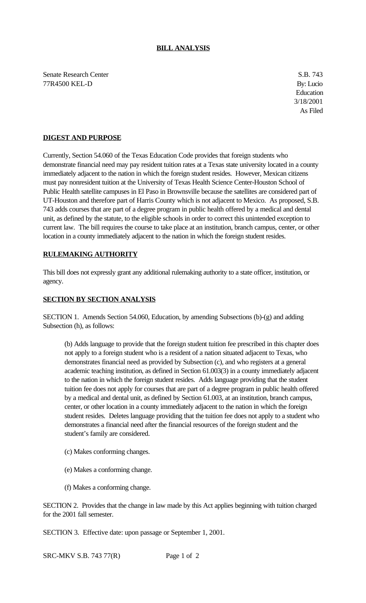## **BILL ANALYSIS**

Senate Research Center S.B. 743 77R4500 KEL-D By: Lucio

Education 3/18/2001 As Filed

## **DIGEST AND PURPOSE**

Currently, Section 54.060 of the Texas Education Code provides that foreign students who demonstrate financial need may pay resident tuition rates at a Texas state university located in a county immediately adjacent to the nation in which the foreign student resides. However, Mexican citizens must pay nonresident tuition at the University of Texas Health Science Center-Houston School of Public Health satellite campuses in El Paso in Brownsville because the satellites are considered part of UT-Houston and therefore part of Harris County which is not adjacent to Mexico. As proposed, S.B. 743 adds courses that are part of a degree program in public health offered by a medical and dental unit, as defined by the statute, to the eligible schools in order to correct this unintended exception to current law. The bill requires the course to take place at an institution, branch campus, center, or other location in a county immediately adjacent to the nation in which the foreign student resides.

## **RULEMAKING AUTHORITY**

This bill does not expressly grant any additional rulemaking authority to a state officer, institution, or agency.

## **SECTION BY SECTION ANALYSIS**

SECTION 1. Amends Section 54.060, Education, by amending Subsections (b)-(g) and adding Subsection (h), as follows:

(b) Adds language to provide that the foreign student tuition fee prescribed in this chapter does not apply to a foreign student who is a resident of a nation situated adjacent to Texas, who demonstrates financial need as provided by Subsection (c), and who registers at a general academic teaching institution, as defined in Section 61.003(3) in a county immediately adjacent to the nation in which the foreign student resides. Adds language providing that the student tuition fee does not apply for courses that are part of a degree program in public health offered by a medical and dental unit, as defined by Section 61.003, at an institution, branch campus, center, or other location in a county immediately adjacent to the nation in which the foreign student resides. Deletes language providing that the tuition fee does not apply to a student who demonstrates a financial need after the financial resources of the foreign student and the student's family are considered.

- (c) Makes conforming changes.
- (e) Makes a conforming change.
- (f) Makes a conforming change.

SECTION 2. Provides that the change in law made by this Act applies beginning with tuition charged for the 2001 fall semester.

SECTION 3. Effective date: upon passage or September 1, 2001.

SRC-MKV S.B. 743 77(R) Page 1 of 2